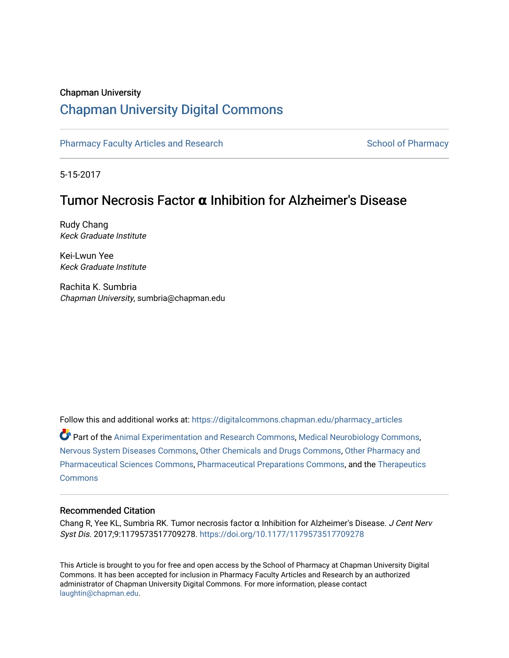## Chapman University

# [Chapman University Digital Commons](https://digitalcommons.chapman.edu/)

[Pharmacy Faculty Articles and Research](https://digitalcommons.chapman.edu/pharmacy_articles) [School of Pharmacy](https://digitalcommons.chapman.edu/cusp) School of Pharmacy

5-15-2017

# Tumor Necrosis Factor **α** Inhibition for Alzheimer's Disease

Rudy Chang Keck Graduate Institute

Kei-Lwun Yee Keck Graduate Institute

Rachita K. Sumbria Chapman University, sumbria@chapman.edu

Follow this and additional works at: [https://digitalcommons.chapman.edu/pharmacy\\_articles](https://digitalcommons.chapman.edu/pharmacy_articles?utm_source=digitalcommons.chapman.edu%2Fpharmacy_articles%2F859&utm_medium=PDF&utm_campaign=PDFCoverPages)

Part of the [Animal Experimentation and Research Commons,](http://network.bepress.com/hgg/discipline/1390?utm_source=digitalcommons.chapman.edu%2Fpharmacy_articles%2F859&utm_medium=PDF&utm_campaign=PDFCoverPages) [Medical Neurobiology Commons,](http://network.bepress.com/hgg/discipline/674?utm_source=digitalcommons.chapman.edu%2Fpharmacy_articles%2F859&utm_medium=PDF&utm_campaign=PDFCoverPages) [Nervous System Diseases Commons](http://network.bepress.com/hgg/discipline/928?utm_source=digitalcommons.chapman.edu%2Fpharmacy_articles%2F859&utm_medium=PDF&utm_campaign=PDFCoverPages), [Other Chemicals and Drugs Commons,](http://network.bepress.com/hgg/discipline/951?utm_source=digitalcommons.chapman.edu%2Fpharmacy_articles%2F859&utm_medium=PDF&utm_campaign=PDFCoverPages) [Other Pharmacy and](http://network.bepress.com/hgg/discipline/737?utm_source=digitalcommons.chapman.edu%2Fpharmacy_articles%2F859&utm_medium=PDF&utm_campaign=PDFCoverPages)  [Pharmaceutical Sciences Commons,](http://network.bepress.com/hgg/discipline/737?utm_source=digitalcommons.chapman.edu%2Fpharmacy_articles%2F859&utm_medium=PDF&utm_campaign=PDFCoverPages) [Pharmaceutical Preparations Commons,](http://network.bepress.com/hgg/discipline/936?utm_source=digitalcommons.chapman.edu%2Fpharmacy_articles%2F859&utm_medium=PDF&utm_campaign=PDFCoverPages) and the [Therapeutics](http://network.bepress.com/hgg/discipline/993?utm_source=digitalcommons.chapman.edu%2Fpharmacy_articles%2F859&utm_medium=PDF&utm_campaign=PDFCoverPages)  [Commons](http://network.bepress.com/hgg/discipline/993?utm_source=digitalcommons.chapman.edu%2Fpharmacy_articles%2F859&utm_medium=PDF&utm_campaign=PDFCoverPages)

## Recommended Citation

Chang R, Yee KL, Sumbria RK. Tumor necrosis factor  $α$  Inhibition for Alzheimer's Disease. *J Cent Nerv* Syst Dis. 2017;9:1179573517709278.<https://doi.org/10.1177/1179573517709278>

This Article is brought to you for free and open access by the School of Pharmacy at Chapman University Digital Commons. It has been accepted for inclusion in Pharmacy Faculty Articles and Research by an authorized administrator of Chapman University Digital Commons. For more information, please contact [laughtin@chapman.edu.](mailto:laughtin@chapman.edu)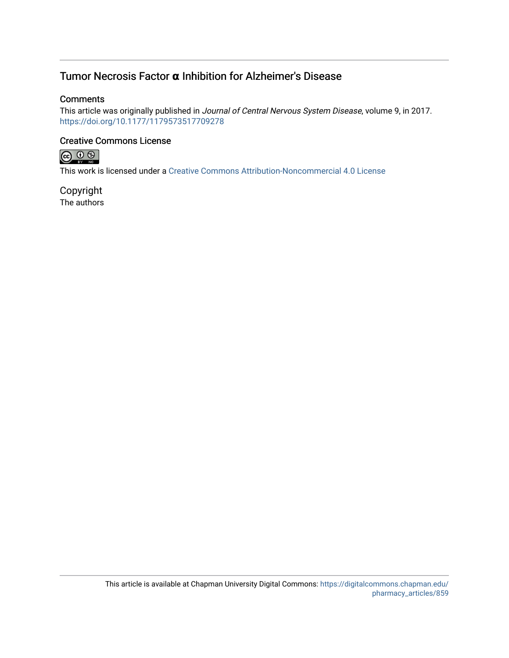# Tumor Necrosis Factor **α** Inhibition for Alzheimer's Disease

## **Comments**

This article was originally published in Journal of Central Nervous System Disease, volume 9, in 2017. <https://doi.org/10.1177/1179573517709278>

## Creative Commons License



This work is licensed under a [Creative Commons Attribution-Noncommercial 4.0 License](https://creativecommons.org/licenses/by-nc/4.0/) 

Copyright The authors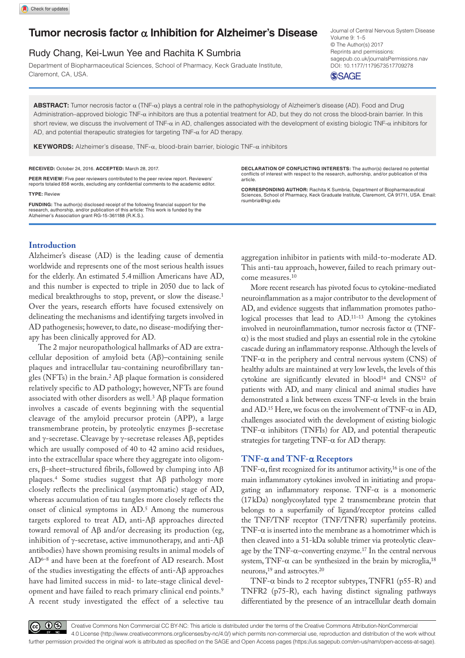## **Tumor necrosis factor** α **Inhibition for Alzheimer's Disease**

## Rudy Chang, Kei-Lwun Yee and Rachita K Sumbria

Department of Biopharmaceutical Sciences, School of Pharmacy, Keck Graduate Institute, Claremont, CA, USA.

DOI: 10.1177/1179573517709278 Journal of Central Nervous System Disease Volume 9: 1–5 © The Author(s) 2017 Reprints and permissions: [sagepub.co.uk/journalsPermissions.nav](https://uk.sagepub.com/en-gb/journals-permissions)

**SSAGE** 

**ABSTRACT:** Tumor necrosis factor α (TNF-α) plays a central role in the pathophysiology of Alzheimer's disease (AD). Food and Drug Administration–approved biologic TNF-α inhibitors are thus a potential treatment for AD, but they do not cross the blood-brain barrier. In this short review, we discuss the involvement of TNF- $\alpha$  in AD, challenges associated with the development of existing biologic TNF- $\alpha$  inhibitors for AD, and potential therapeutic strategies for targeting TNF- $\alpha$  for AD therapy.

**Keywords:** Alzheimer's disease, TNF-α, blood-brain barrier, biologic TNF-α inhibitors

#### **RECEIVED:** October 24, 2016. **ACCEPTED:** March 28, 2017.

**PEER REVIEW:** Five peer reviewers contributed to the peer review report. Reviewers' reports totaled 858 words, excluding any confidential comments to the academic editor.

#### **TYPE:** Review

**FUNDING:** The author(s) disclosed receipt of the following financial support for the research, authorship, and/or publication of this article: This work is funded by the Alzheimer's Association grant RG-15-361188 (R.K.S.).

## **Introduction**

Alzheimer's disease (AD) is the leading cause of dementia worldwide and represents one of the most serious health issues for the elderly. An estimated 5.4million Americans have AD, and this number is expected to triple in 2050 due to lack of medical breakthroughs to stop, prevent, or slow the disease.1 Over the years, research efforts have focused extensively on delineating the mechanisms and identifying targets involved in AD pathogenesis; however, to date, no disease-modifying therapy has been clinically approved for AD.

The 2 major neuropathological hallmarks of AD are extracellular deposition of amyloid beta (Aβ)–containing senile plaques and intracellular tau-containing neurofibrillary tangles (NFTs) in the brain.2 Aβ plaque formation is considered relatively specific to AD pathology; however, NFTs are found associated with other disorders as well.<sup>3</sup>  $\text{A}\beta$  plaque formation involves a cascade of events beginning with the sequential cleavage of the amyloid precursor protein (APP), a large transmembrane protein, by proteolytic enzymes β-secretase and γ-secretase. Cleavage by γ-secretase releases Aβ, peptides which are usually composed of 40 to 42 amino acid residues, into the extracellular space where they aggregate into oligomers, β-sheet–structured fibrils, followed by clumping into Aβ plaques.4 Some studies suggest that Aβ pathology more closely reflects the preclinical (asymptomatic) stage of AD, whereas accumulation of tau tangles more closely reflects the onset of clinical symptoms in AD.5 Among the numerous targets explored to treat AD, anti-Aβ approaches directed toward removal of Aβ and/or decreasing its production (eg, inhibition of γ-secretase, active immunotherapy, and anti- $Aβ$ antibodies) have shown promising results in animal models of AD6–8 and have been at the forefront of AD research. Most of the studies investigating the effects of anti-Aβ approaches have had limited success in mid- to late-stage clinical development and have failed to reach primary clinical end points.9 A recent study investigated the effect of a selective tau

**Declaration of Conflicting Interests:** The author(s) declared no potential conflicts of interest with respect to the research, authorship, and/or publication of this article.

**Corresponding Author:** Rachita K Sumbria, Department of Biopharmaceutical Sciences, School of Pharmacy, Keck Graduate Institute, Claremont, CA 91711, USA. Email: [rsumbria@kgi.edu](mailto:rsumbria@kgi.edu)

aggregation inhibitor in patients with mild-to-moderate AD. This anti-tau approach, however, failed to reach primary outcome measures.10

More recent research has pivoted focus to cytokine-mediated neuroinflammation as a major contributor to the development of AD, and evidence suggests that inflammation promotes pathological processes that lead to AD.11–13 Among the cytokines involved in neuroinflammation, tumor necrosis factor  $\alpha$  (TNF- $\alpha$ ) is the most studied and plays an essential role in the cytokine cascade during an inflammatory response. Although the levels of TNF- $\alpha$  in the periphery and central nervous system (CNS) of healthy adults are maintained at very low levels, the levels of this cytokine are significantly elevated in blood<sup>14</sup> and CNS<sup>12</sup> of patients with AD, and many clinical and animal studies have demonstrated a link between excess  $TNF-\alpha$  levels in the brain and AD.<sup>15</sup> Here, we focus on the involvement of TNF- $\alpha$  in AD, challenges associated with the development of existing biologic TNF- $\alpha$  inhibitors (TNFIs) for AD, and potential therapeutic strategies for targeting TNF- $\alpha$  for AD therapy.

### **TNF-**α **and TNF-**α **Receptors**

TNF- $\alpha$ , first recognized for its antitumor activity,<sup>16</sup> is one of the main inflammatory cytokines involved in initiating and propagating an inflammatory response. TNF- $\alpha$  is a monomeric (17kDa) nonglycosylated type 2 transmembrane protein that belongs to a superfamily of ligand/receptor proteins called the TNF/TNF receptor (TNF/TNFR) superfamily proteins. TNF- $\alpha$  is inserted into the membrane as a homotrimer which is then cleaved into a 51-kDa soluble trimer via proteolytic cleavage by the TNF-α–converting enzyme.17 In the central nervous system, TNF- $\alpha$  can be synthesized in the brain by microglia,<sup>18</sup> neurons,<sup>19</sup> and astrocytes.<sup>20</sup>

TNF- $\alpha$  binds to 2 receptor subtypes, TNFR1 (p55-R) and TNFR2 (p75-R), each having distinct signaling pathways differentiated by the presence of an intracellular death domain

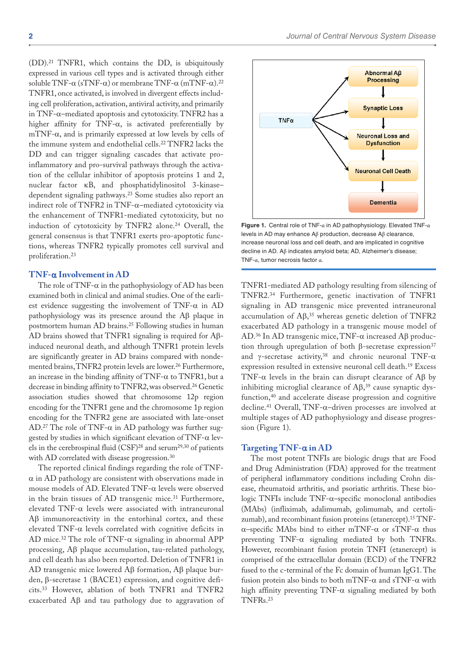(DD).21 TNFR1, which contains the DD, is ubiquitously expressed in various cell types and is activated through either soluble TNF- $\alpha$  (sTNF- $\alpha$ ) or membrane TNF- $\alpha$  (mTNF- $\alpha$ ).<sup>22</sup> TNFR1, once activated, is involved in divergent effects including cell proliferation, activation, antiviral activity, and primarily in TNF-α–mediated apoptosis and cytotoxicity. TNFR2 has a higher affinity for TNF-α, is activated preferentially by mTNF- $\alpha$ , and is primarily expressed at low levels by cells of the immune system and endothelial cells.22 TNFR2 lacks the DD and can trigger signaling cascades that activate proinflammatory and pro-survival pathways through the activation of the cellular inhibitor of apoptosis proteins 1 and 2, nuclear factor κB, and phosphatidylinositol 3-kinase– dependent signaling pathways.23 Some studies also report an indirect role of TNFR2 in TNF-α–mediated cytotoxicity via the enhancement of TNFR1-mediated cytotoxicity, but no induction of cytotoxicity by TNFR2 alone.<sup>24</sup> Overall, the general consensus is that TNFR1 exerts pro-apoptotic functions, whereas TNFR2 typically promotes cell survival and proliferation.23

## **TNF-**α **Involvement in AD**

The role of TNF- $\alpha$  in the pathophysiology of AD has been examined both in clinical and animal studies. One of the earliest evidence suggesting the involvement of TNF- $\alpha$  in AD pathophysiology was its presence around the Aβ plaque in postmortem human AD brains.25 Following studies in human AD brains showed that TNFR1 signaling is required for Aβinduced neuronal death, and although TNFR1 protein levels are significantly greater in AD brains compared with nondemented brains, TNFR2 protein levels are lower.<sup>26</sup> Furthermore, an increase in the binding affinity of TNF-α to TNFR1, but a decrease in binding affinity to TNFR2, was observed.26 Genetic association studies showed that chromosome 12p region encoding for the TNFR1 gene and the chromosome 1p region encoding for the TNFR2 gene are associated with late-onset AD.<sup>27</sup> The role of TNF- $\alpha$  in AD pathology was further suggested by studies in which significant elevation of TNF- $\alpha$  levels in the cerebrospinal fluid (CSF)28 and serum29,30 of patients with AD correlated with disease progression.<sup>30</sup>

The reported clinical findings regarding the role of TNF- $\alpha$  in AD pathology are consistent with observations made in mouse models of AD. Elevated TNF-α levels were observed in the brain tissues of AD transgenic mice.<sup>31</sup> Furthermore, elevated TNF-α levels were associated with intraneuronal Aβ immunoreactivity in the entorhinal cortex, and these elevated TNF- $\alpha$  levels correlated with cognitive deficits in AD mice.<sup>32</sup> The role of TNF- $\alpha$  signaling in abnormal APP processing, Aβ plaque accumulation, tau-related pathology, and cell death has also been reported. Deletion of TNFR1 in AD transgenic mice lowered Aβ formation, Aβ plaque burden, β-secretase 1 (BACE1) expression, and cognitive deficits.33 However, ablation of both TNFR1 and TNFR2 exacerbated Aβ and tau pathology due to aggravation of



**Figure 1.** Central role of TNF-α in AD pathophysiology. Elevated TNF-α levels in AD may enhance Aβ production, decrease Aβ clearance, increase neuronal loss and cell death, and are implicated in cognitive decline in AD. Aβ indicates amyloid beta; AD, Alzheimer's disease; TNF-α, tumor necrosis factor α.

TNFR1-mediated AD pathology resulting from silencing of TNFR2.34 Furthermore, genetic inactivation of TNFR1 signaling in AD transgenic mice prevented intraneuronal accumulation of Aβ, 35 whereas genetic deletion of TNFR2 exacerbated AD pathology in a transgenic mouse model of AD.36 In AD transgenic mice, TNF-α increased Aβ production through upregulation of both β-secretase expression<sup>37</sup> and  $\gamma$ -secretase activity,<sup>38</sup> and chronic neuronal TNF- $\alpha$ expression resulted in extensive neuronal cell death.19 Excess TNF-α levels in the brain can disrupt clearance of Aβ by inhibiting microglial clearance of Aβ, 39 cause synaptic dysfunction,<sup>40</sup> and accelerate disease progression and cognitive decline.41 Overall, TNF-α–driven processes are involved at multiple stages of AD pathophysiology and disease progression (Figure 1).

### **Targeting TNF-**α **in AD**

The most potent TNFIs are biologic drugs that are Food and Drug Administration (FDA) approved for the treatment of peripheral inflammatory conditions including Crohn disease, rheumatoid arthritis, and psoriatic arthritis. These biologic TNFIs include TNF-α–specific monoclonal antibodies (MAbs) (infliximab, adalimumab, golimumab, and certolizumab), and recombinant fusion proteins (etanercept).15 TNFα–specific MAbs bind to either mTNF-α or sTNF-α thus preventing TNF- $\alpha$  signaling mediated by both TNFRs. However, recombinant fusion protein TNFI (etanercept) is comprised of the extracellular domain (ECD) of the TNFR2 fused to the c-terminal of the Fc domain of human IgG1. The fusion protein also binds to both mTNF- $\alpha$  and sTNF- $\alpha$  with high affinity preventing TNF-α signaling mediated by both TNFRs.23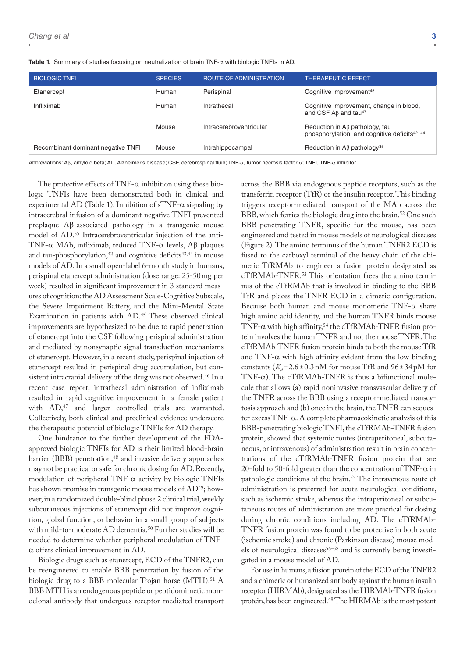| <b>BIOLOGIC TNFI</b>               | <b>SPECIES</b> | <b>ROUTE OF ADMINISTRATION</b> | <b>THERAPEUTIC EFFECT</b>                                                                        |
|------------------------------------|----------------|--------------------------------|--------------------------------------------------------------------------------------------------|
| Etanercept                         | Human          | Perispinal                     | Cognitive improvement <sup>45</sup>                                                              |
| Infliximab                         | Human          | Intrathecal                    | Cognitive improvement, change in blood,<br>and CSF $AB$ and tau <sup>47</sup>                    |
|                                    | Mouse          | Intracerebroventricular        | Reduction in $A\beta$ pathology, tau<br>phosphorylation, and cognitive deficits <sup>42-44</sup> |
| Recombinant dominant negative TNFI | Mouse          | Intrahippocampal               | Reduction in A $\beta$ pathology <sup>35</sup>                                                   |

**Table 1.** Summary of studies focusing on neutralization of brain TNF-α with biologic TNFIs in AD.

Abbreviations: Aβ, amyloid beta; AD, Alzheimer's disease; CSF, cerebrospinal fluid; TNF-α, tumor necrosis factor α; TNFI, TNF-α inhibitor.

The protective effects of TNF- $\alpha$  inhibition using these biologic TNFIs have been demonstrated both in clinical and experimental AD (Table 1). Inhibition of sTNF- $\alpha$  signaling by intracerebral infusion of a dominant negative TNFI prevented preplaque Aβ-associated pathology in a transgenic mouse model of AD.35 Intracerebroventricular injection of the anti-TNF-α MAb, infliximab, reduced TNF-α levels, Aβ plaques and tau-phosphorylation,<sup>42</sup> and cognitive deficits<sup>43,44</sup> in mouse models of AD. In a small open-label 6-month study in humans, perispinal etanercept administration (dose range: 25-50mg per week) resulted in significant improvement in 3 standard measures of cognition: the AD Assessment Scale-Cognitive Subscale, the Severe Impairment Battery, and the Mini-Mental State Examination in patients with AD.45 These observed clinical improvements are hypothesized to be due to rapid penetration of etanercept into the CSF following perispinal administration and mediated by nonsynaptic signal transduction mechanisms of etanercept. However, in a recent study, perispinal injection of etanercept resulted in perispinal drug accumulation, but consistent intracranial delivery of the drug was not observed.<sup>46</sup> In a recent case report, intrathecal administration of infliximab resulted in rapid cognitive improvement in a female patient with AD,<sup>47</sup> and larger controlled trials are warranted. Collectively, both clinical and preclinical evidence underscore the therapeutic potential of biologic TNFIs for AD therapy.

One hindrance to the further development of the FDAapproved biologic TNFIs for AD is their limited blood-brain barrier (BBB) penetration,<sup>48</sup> and invasive delivery approaches may not be practical or safe for chronic dosing for AD. Recently, modulation of peripheral TNF- $\alpha$  activity by biologic TNFIs has shown promise in transgenic mouse models of AD49; however, in a randomized double-blind phase 2 clinical trial, weekly subcutaneous injections of etanercept did not improve cognition, global function, or behavior in a small group of subjects with mild-to-moderate AD dementia.50 Further studies will be needed to determine whether peripheral modulation of TNFα offers clinical improvement in AD.

Biologic drugs such as etanercept, ECD of the TNFR2, can be reengineered to enable BBB penetration by fusion of the biologic drug to a BBB molecular Trojan horse (MTH).<sup>51</sup> A BBB MTH is an endogenous peptide or peptidomimetic monoclonal antibody that undergoes receptor-mediated transport

across the BBB via endogenous peptide receptors, such as the transferrin receptor (TfR) or the insulin receptor. This binding triggers receptor-mediated transport of the MAb across the BBB, which ferries the biologic drug into the brain.<sup>52</sup> One such BBB-penetrating TNFR, specific for the mouse, has been engineered and tested in mouse models of neurological diseases (Figure 2). The amino terminus of the human TNFR2 ECD is fused to the carboxyl terminal of the heavy chain of the chimeric TfRMAb to engineer a fusion protein designated as cTfRMAb-TNFR.53 This orientation frees the amino terminus of the cTfRMAb that is involved in binding to the BBB TfR and places the TNFR ECD in a dimeric configuration. Because both human and mouse monomeric  $TNF-\alpha$  share high amino acid identity, and the human TNFR binds mouse TNF- $\alpha$  with high affinity,<sup>54</sup> the cTfRMAb-TNFR fusion protein involves the human TNFR and not the mouse TNFR. The cTfRMAb-TNFR fusion protein binds to both the mouse TfR and TNF- $\alpha$  with high affinity evident from the low binding constants  $(K_d = 2.6 \pm 0.3 \text{ nM}$  for mouse TfR and  $96 \pm 34 \text{ pM}$  for TNF- $\alpha$ ). The cTfRMAb-TNFR is thus a bifunctional molecule that allows (a) rapid noninvasive transvascular delivery of the TNFR across the BBB using a receptor-mediated transcytosis approach and (b) once in the brain, the TNFR can sequester excess TNF-α. A complete pharmacokinetic analysis of this BBB-penetrating biologic TNFI, the cTfRMAb-TNFR fusion protein, showed that systemic routes (intraperitoneal, subcutaneous, or intravenous) of administration result in brain concentrations of the cTfRMAb-TNFR fusion protein that are 20-fold to 50-fold greater than the concentration of TNF- $\alpha$  in pathologic conditions of the brain.<sup>55</sup> The intravenous route of administration is preferred for acute neurological conditions, such as ischemic stroke, whereas the intraperitoneal or subcutaneous routes of administration are more practical for dosing during chronic conditions including AD. The cTfRMAb-TNFR fusion protein was found to be protective in both acute (ischemic stroke) and chronic (Parkinson disease) mouse models of neurological diseases<sup>56–58</sup> and is currently being investigated in a mouse model of AD.

For use in humans, a fusion protein of the ECD of the TNFR2 and a chimeric or humanized antibody against the human insulin receptor (HIRMAb), designated as the HIRMAb-TNFR fusion protein, has been engineered.48 The HIRMAb is the most potent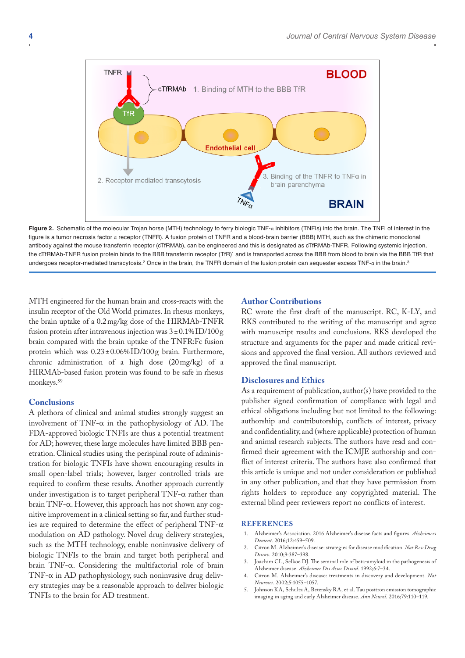

**Figure 2.** Schematic of the molecular Trojan horse (MTH) technology to ferry biologic TNF-α inhibitors (TNFIs) into the brain. The TNFI of interest in the figure is a tumor necrosis factor α receptor (TNFR). A fusion protein of TNFR and a blood-brain barrier (BBB) MTH, such as the chimeric monoclonal antibody against the mouse transferrin receptor (cTfRMAb), can be engineered and this is designated as cTfRMAb-TNFR. Following systemic injection, the cTfRMAb-TNFR fusion protein binds to the BBB transferrin receptor (TfR)1 and is transported across the BBB from blood to brain via the BBB TfR that undergoes receptor-mediated transcytosis.<sup>2</sup> Once in the brain, the TNFR domain of the fusion protein can sequester excess TNF-α in the brain.<sup>3</sup>

MTH engineered for the human brain and cross-reacts with the insulin receptor of the Old World primates. In rhesus monkeys, the brain uptake of a 0.2mg/kg dose of the HIRMAb-TNFR fusion protein after intravenous injection was  $3 \pm 0.1\%$  ID/100 g brain compared with the brain uptake of the TNFR:Fc fusion protein which was 0.23±0.06%ID/100g brain. Furthermore, chronic administration of a high dose (20mg/kg) of a HIRMAb-based fusion protein was found to be safe in rhesus monkeys.59

### **Conclusions**

A plethora of clinical and animal studies strongly suggest an involvement of TNF- $\alpha$  in the pathophysiology of AD. The FDA-approved biologic TNFIs are thus a potential treatment for AD; however, these large molecules have limited BBB penetration. Clinical studies using the perispinal route of administration for biologic TNFIs have shown encouraging results in small open-label trials; however, larger controlled trials are required to confirm these results. Another approach currently under investigation is to target peripheral TNF- $\alpha$  rather than brain TNF-α. However, this approach has not shown any cognitive improvement in a clinical setting so far, and further studies are required to determine the effect of peripheral TNF- $\alpha$ modulation on AD pathology. Novel drug delivery strategies, such as the MTH technology, enable noninvasive delivery of biologic TNFIs to the brain and target both peripheral and brain TNF-α. Considering the multifactorial role of brain TNF- $\alpha$  in AD pathophysiology, such noninvasive drug delivery strategies may be a reasonable approach to deliver biologic TNFIs to the brain for AD treatment.

## **Author Contributions**

RC wrote the first draft of the manuscript. RC, K-LY, and RKS contributed to the writing of the manuscript and agree with manuscript results and conclusions. RKS developed the structure and arguments for the paper and made critical revisions and approved the final version. All authors reviewed and approved the final manuscript.

### **Disclosures and Ethics**

As a requirement of publication, author(s) have provided to the publisher signed confirmation of compliance with legal and ethical obligations including but not limited to the following: authorship and contributorship, conflicts of interest, privacy and confidentiality, and (where applicable) protection of human and animal research subjects. The authors have read and confirmed their agreement with the ICMJE authorship and conflict of interest criteria. The authors have also confirmed that this article is unique and not under consideration or published in any other publication, and that they have permission from rights holders to reproduce any copyrighted material. The external blind peer reviewers report no conflicts of interest.

#### **References**

- 1. Alzheimer's Association. 2016 Alzheimer's disease facts and figures. *Alzheimers Dement*. 2016;12:459–509.
- 2. Citron M. Alzheimer's disease: strategies for disease modification. *Nat Rev Drug Discov*. 2010;9:387–398.
- 3. Joachim CL, Selkoe DJ. The seminal role of beta-amyloid in the pathogenesis of Alzheimer disease. *Alzheimer Dis Assoc Disord*. 1992;6:7–34.
- 4. Citron M. Alzheimer's disease: treatments in discovery and development. *Nat Neurosci*. 2002;5:1055–1057.
- 5. Johnson KA, Schultz A, Betensky RA, et al. Tau positron emission tomographic imaging in aging and early Alzheimer disease. *Ann Neurol*. 2016;79:110–119.